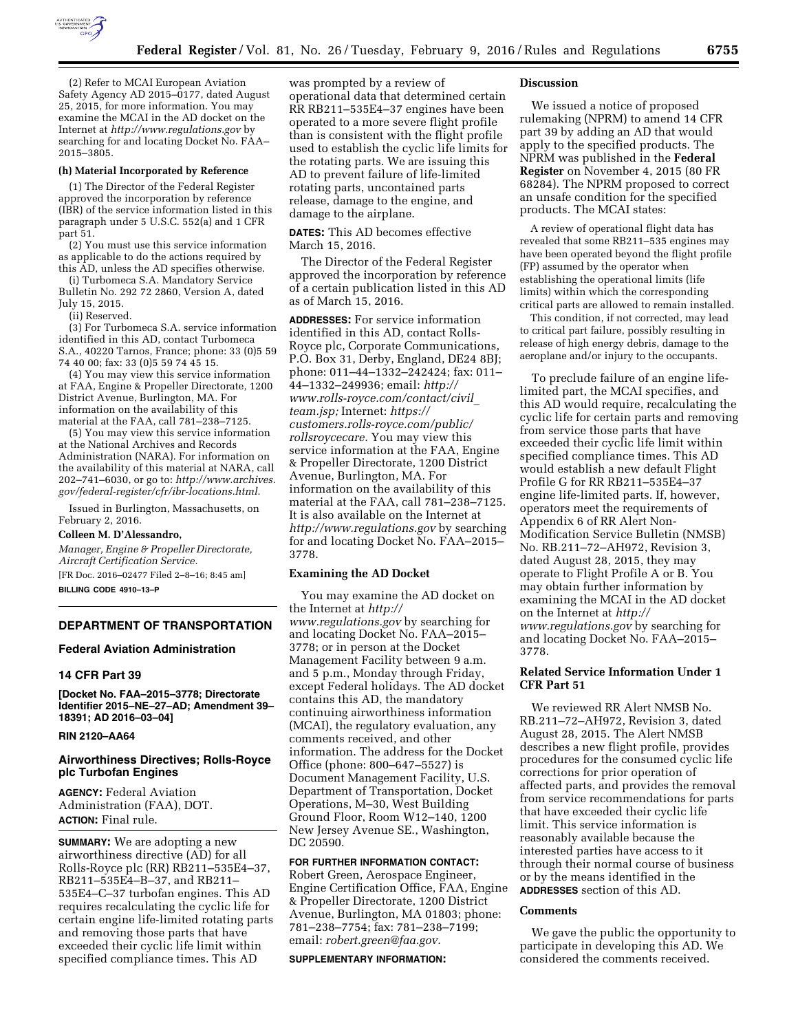

(2) Refer to MCAI European Aviation Safety Agency AD 2015–0177, dated August 25, 2015, for more information. You may examine the MCAI in the AD docket on the Internet at *<http://www.regulations.gov>*by searching for and locating Docket No. FAA-2015–3805.

#### **(h) Material Incorporated by Reference**

(1) The Director of the Federal Register approved the incorporation by reference (IBR) of the service information listed in this paragraph under 5 U.S.C. 552(a) and 1 CFR part 51.

(2) You must use this service information as applicable to do the actions required by this AD, unless the AD specifies otherwise.

(i) Turbomeca S.A. Mandatory Service Bulletin No. 292 72 2860, Version A, dated July 15, 2015.

(ii) Reserved.

(3) For Turbomeca S.A. service information identified in this AD, contact Turbomeca S.A., 40220 Tarnos, France; phone: 33 (0)5 59 74 40 00; fax: 33 (0)5 59 74 45 15.

(4) You may view this service information at FAA, Engine & Propeller Directorate, 1200 District Avenue, Burlington, MA. For information on the availability of this material at the FAA, call 781–238–7125.

(5) You may view this service information at the National Archives and Records Administration (NARA). For information on the availability of this material at NARA, call 202–741–6030, or go to: *[http://www.archives.](http://www.archives.gov/federal-register/cfr/ibr-locations.html) [gov/federal-register/cfr/ibr-locations.html.](http://www.archives.gov/federal-register/cfr/ibr-locations.html)* 

Issued in Burlington, Massachusetts, on February 2, 2016.

## **Colleen M. D'Alessandro,**

*Manager, Engine & Propeller Directorate, Aircraft Certification Service.* 

[FR Doc. 2016–02477 Filed 2–8–16; 8:45 am]

**BILLING CODE 4910–13–P** 

## **DEPARTMENT OF TRANSPORTATION**

#### **Federal Aviation Administration**

## **14 CFR Part 39**

**[Docket No. FAA–2015–3778; Directorate Identifier 2015–NE–27–AD; Amendment 39– 18391; AD 2016–03–04]** 

## **RIN 2120–AA64**

## **Airworthiness Directives; Rolls-Royce plc Turbofan Engines**

**AGENCY:** Federal Aviation Administration (FAA), DOT. **ACTION:** Final rule.

**SUMMARY:** We are adopting a new airworthiness directive (AD) for all Rolls-Royce plc (RR) RB211–535E4–37, RB211–535E4–B–37, and RB211– 535E4–C–37 turbofan engines. This AD requires recalculating the cyclic life for certain engine life-limited rotating parts and removing those parts that have exceeded their cyclic life limit within specified compliance times. This AD

was prompted by a review of operational data that determined certain RR RB211–535E4–37 engines have been operated to a more severe flight profile than is consistent with the flight profile used to establish the cyclic life limits for the rotating parts. We are issuing this AD to prevent failure of life-limited rotating parts, uncontained parts release, damage to the engine, and damage to the airplane.

**DATES:** This AD becomes effective March 15, 2016.

The Director of the Federal Register approved the incorporation by reference of a certain publication listed in this AD as of March 15, 2016.

**ADDRESSES:** For service information identified in this AD, contact Rolls-Royce plc, Corporate Communications, P.O. Box 31, Derby, England, DE24 8BJ; phone: 011–44–1332–242424; fax: 011– 44–1332–249936; email: *[http://](http://www.rolls-royce.com/contact/civil_team.jsp) [www.rolls-royce.com/contact/civil](http://www.rolls-royce.com/contact/civil_team.jsp)*\_ *[team.jsp;](http://www.rolls-royce.com/contact/civil_team.jsp)* Internet: *[https://](https://customers.rolls-royce.com/public/rollsroycecare) [customers.rolls-royce.com/public/](https://customers.rolls-royce.com/public/rollsroycecare) [rollsroycecare.](https://customers.rolls-royce.com/public/rollsroycecare)* You may view this service information at the FAA, Engine & Propeller Directorate, 1200 District Avenue, Burlington, MA. For information on the availability of this material at the FAA, call 781–238–7125. It is also available on the Internet at *<http://www.regulations.gov>* by searching for and locating Docket No. FAA–2015– 3778.

## **Examining the AD Docket**

You may examine the AD docket on the Internet at *[http://](http://www.regulations.gov) [www.regulations.gov](http://www.regulations.gov)* by searching for and locating Docket No. FAA–2015– 3778; or in person at the Docket Management Facility between 9 a.m. and 5 p.m., Monday through Friday, except Federal holidays. The AD docket contains this AD, the mandatory continuing airworthiness information (MCAI), the regulatory evaluation, any comments received, and other information. The address for the Docket Office (phone: 800–647–5527) is Document Management Facility, U.S. Department of Transportation, Docket Operations, M–30, West Building Ground Floor, Room W12–140, 1200 New Jersey Avenue SE., Washington, DC 20590.

**FOR FURTHER INFORMATION CONTACT:**  Robert Green, Aerospace Engineer, Engine Certification Office, FAA, Engine & Propeller Directorate, 1200 District Avenue, Burlington, MA 01803; phone: 781–238–7754; fax: 781–238–7199; email: *[robert.green@faa.gov.](mailto:robert.green@faa.gov)* 

### **SUPPLEMENTARY INFORMATION:**

#### **Discussion**

We issued a notice of proposed rulemaking (NPRM) to amend 14 CFR part 39 by adding an AD that would apply to the specified products. The NPRM was published in the **Federal Register** on November 4, 2015 (80 FR 68284). The NPRM proposed to correct an unsafe condition for the specified products. The MCAI states:

A review of operational flight data has revealed that some RB211–535 engines may have been operated beyond the flight profile (FP) assumed by the operator when establishing the operational limits (life limits) within which the corresponding critical parts are allowed to remain installed.

This condition, if not corrected, may lead to critical part failure, possibly resulting in release of high energy debris, damage to the aeroplane and/or injury to the occupants.

To preclude failure of an engine lifelimited part, the MCAI specifies, and this AD would require, recalculating the cyclic life for certain parts and removing from service those parts that have exceeded their cyclic life limit within specified compliance times. This AD would establish a new default Flight Profile G for RR RB211–535E4–37 engine life-limited parts. If, however, operators meet the requirements of Appendix 6 of RR Alert Non-Modification Service Bulletin (NMSB) No. RB.211–72–AH972, Revision 3, dated August 28, 2015, they may operate to Flight Profile A or B. You may obtain further information by examining the MCAI in the AD docket on the Internet at *[http://](http://www.regulations.gov) [www.regulations.gov](http://www.regulations.gov)* by searching for and locating Docket No. FAA–2015– 3778.

## **Related Service Information Under 1 CFR Part 51**

We reviewed RR Alert NMSB No. RB.211–72–AH972, Revision 3, dated August 28, 2015. The Alert NMSB describes a new flight profile, provides procedures for the consumed cyclic life corrections for prior operation of affected parts, and provides the removal from service recommendations for parts that have exceeded their cyclic life limit. This service information is reasonably available because the interested parties have access to it through their normal course of business or by the means identified in the **ADDRESSES** section of this AD.

### **Comments**

We gave the public the opportunity to participate in developing this AD. We considered the comments received.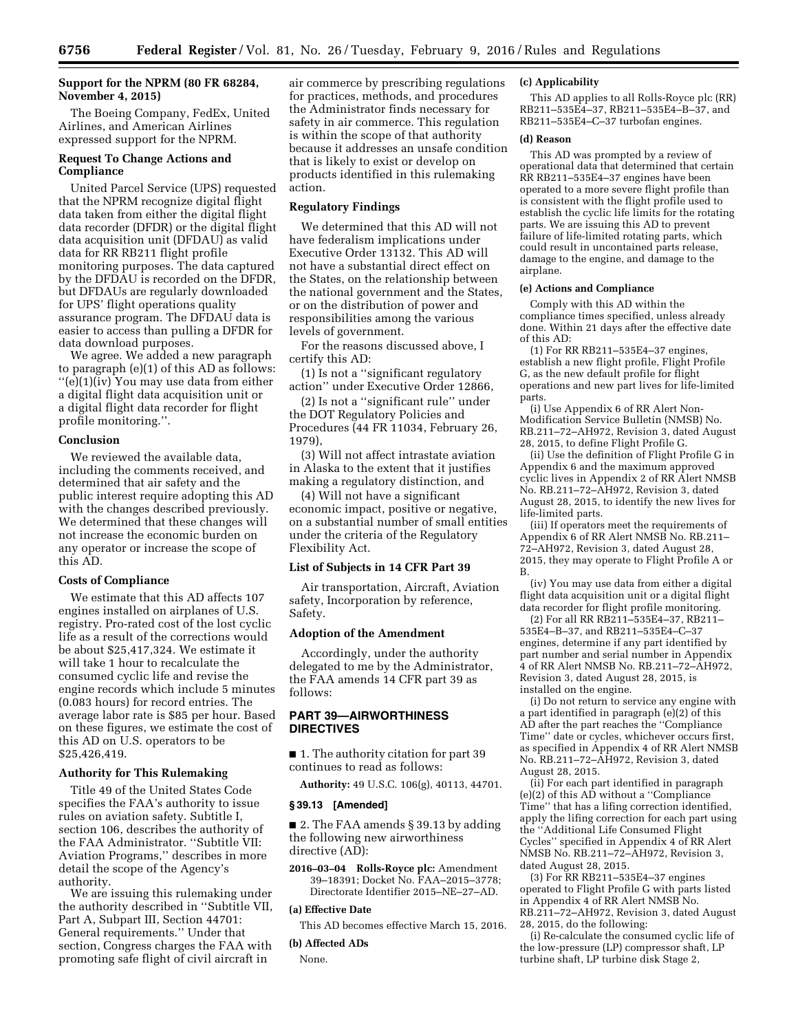## **Support for the NPRM (80 FR 68284, November 4, 2015)**

The Boeing Company, FedEx, United Airlines, and American Airlines expressed support for the NPRM.

## **Request To Change Actions and Compliance**

United Parcel Service (UPS) requested that the NPRM recognize digital flight data taken from either the digital flight data recorder (DFDR) or the digital flight data acquisition unit (DFDAU) as valid data for RR RB211 flight profile monitoring purposes. The data captured by the DFDAU is recorded on the DFDR, but DFDAUs are regularly downloaded for UPS' flight operations quality assurance program. The DFDAU data is easier to access than pulling a DFDR for data download purposes.

We agree. We added a new paragraph to paragraph (e)(1) of this AD as follows: ''(e)(1)(iv) You may use data from either a digital flight data acquisition unit or a digital flight data recorder for flight profile monitoring.''.

## **Conclusion**

We reviewed the available data, including the comments received, and determined that air safety and the public interest require adopting this AD with the changes described previously. We determined that these changes will not increase the economic burden on any operator or increase the scope of this AD.

## **Costs of Compliance**

We estimate that this AD affects 107 engines installed on airplanes of U.S. registry. Pro-rated cost of the lost cyclic life as a result of the corrections would be about \$25,417,324. We estimate it will take 1 hour to recalculate the consumed cyclic life and revise the engine records which include 5 minutes (0.083 hours) for record entries. The average labor rate is \$85 per hour. Based on these figures, we estimate the cost of this AD on U.S. operators to be \$25,426,419.

## **Authority for This Rulemaking**

Title 49 of the United States Code specifies the FAA's authority to issue rules on aviation safety. Subtitle I, section 106, describes the authority of the FAA Administrator. ''Subtitle VII: Aviation Programs,'' describes in more detail the scope of the Agency's authority.

We are issuing this rulemaking under the authority described in ''Subtitle VII, Part A, Subpart III, Section 44701: General requirements.'' Under that section, Congress charges the FAA with promoting safe flight of civil aircraft in

air commerce by prescribing regulations for practices, methods, and procedures the Administrator finds necessary for safety in air commerce. This regulation is within the scope of that authority because it addresses an unsafe condition that is likely to exist or develop on products identified in this rulemaking action.

## **Regulatory Findings**

We determined that this AD will not have federalism implications under Executive Order 13132. This AD will not have a substantial direct effect on the States, on the relationship between the national government and the States, or on the distribution of power and responsibilities among the various levels of government.

For the reasons discussed above, I certify this AD:

(1) Is not a ''significant regulatory action'' under Executive Order 12866,

(2) Is not a ''significant rule'' under the DOT Regulatory Policies and Procedures (44 FR 11034, February 26, 1979),

(3) Will not affect intrastate aviation in Alaska to the extent that it justifies making a regulatory distinction, and

(4) Will not have a significant economic impact, positive or negative, on a substantial number of small entities under the criteria of the Regulatory Flexibility Act.

#### **List of Subjects in 14 CFR Part 39**

Air transportation, Aircraft, Aviation safety, Incorporation by reference, Safety.

## **Adoption of the Amendment**

Accordingly, under the authority delegated to me by the Administrator, the FAA amends 14 CFR part 39 as follows:

## **PART 39—AIRWORTHINESS DIRECTIVES**

■ 1. The authority citation for part 39 continues to read as follows:

**Authority:** 49 U.S.C. 106(g), 40113, 44701.

#### **§ 39.13 [Amended]**

■ 2. The FAA amends § 39.13 by adding the following new airworthiness directive (AD):

**2016–03–04 Rolls-Royce plc:** Amendment 39–18391; Docket No. FAA–2015–3778; Directorate Identifier 2015–NE–27–AD.

#### **(a) Effective Date**

This AD becomes effective March 15, 2016.

### **(b) Affected ADs**

None.

#### **(c) Applicability**

This AD applies to all Rolls-Royce plc (RR) RB211–535E4–37, RB211–535E4–B–37, and RB211–535E4–C–37 turbofan engines.

#### **(d) Reason**

This AD was prompted by a review of operational data that determined that certain RR RB211–535E4–37 engines have been operated to a more severe flight profile than is consistent with the flight profile used to establish the cyclic life limits for the rotating parts. We are issuing this AD to prevent failure of life-limited rotating parts, which could result in uncontained parts release, damage to the engine, and damage to the airplane.

## **(e) Actions and Compliance**

Comply with this AD within the compliance times specified, unless already done. Within 21 days after the effective date of this AD:

(1) For RR RB211–535E4–37 engines, establish a new flight profile, Flight Profile G, as the new default profile for flight operations and new part lives for life-limited parts.

(i) Use Appendix 6 of RR Alert Non-Modification Service Bulletin (NMSB) No. RB.211–72–AH972, Revision 3, dated August 28, 2015, to define Flight Profile G.

(ii) Use the definition of Flight Profile G in Appendix 6 and the maximum approved cyclic lives in Appendix 2 of RR Alert NMSB No. RB.211–72–AH972, Revision 3, dated August 28, 2015, to identify the new lives for life-limited parts.

(iii) If operators meet the requirements of Appendix 6 of RR Alert NMSB No. RB.211– 72–AH972, Revision 3, dated August 28, 2015, they may operate to Flight Profile A or B.

(iv) You may use data from either a digital flight data acquisition unit or a digital flight data recorder for flight profile monitoring.

(2) For all RR RB211–535E4–37, RB211– 535E4–B–37, and RB211–535E4–C–37 engines, determine if any part identified by part number and serial number in Appendix 4 of RR Alert NMSB No. RB.211–72–AH972, Revision 3, dated August 28, 2015, is installed on the engine.

(i) Do not return to service any engine with a part identified in paragraph (e)(2) of this AD after the part reaches the ''Compliance Time'' date or cycles, whichever occurs first, as specified in Appendix 4 of RR Alert NMSB No. RB.211–72–AH972, Revision 3, dated August 28, 2015.

(ii) For each part identified in paragraph (e)(2) of this AD without a ''Compliance Time'' that has a lifing correction identified, apply the lifing correction for each part using the ''Additional Life Consumed Flight Cycles'' specified in Appendix 4 of RR Alert NMSB No. RB.211–72–AH972, Revision 3, dated August 28, 2015.

(3) For RR RB211–535E4–37 engines operated to Flight Profile G with parts listed in Appendix 4 of RR Alert NMSB No. RB.211–72–AH972, Revision 3, dated August 28, 2015, do the following:

(i) Re-calculate the consumed cyclic life of the low-pressure (LP) compressor shaft, LP turbine shaft, LP turbine disk Stage 2,